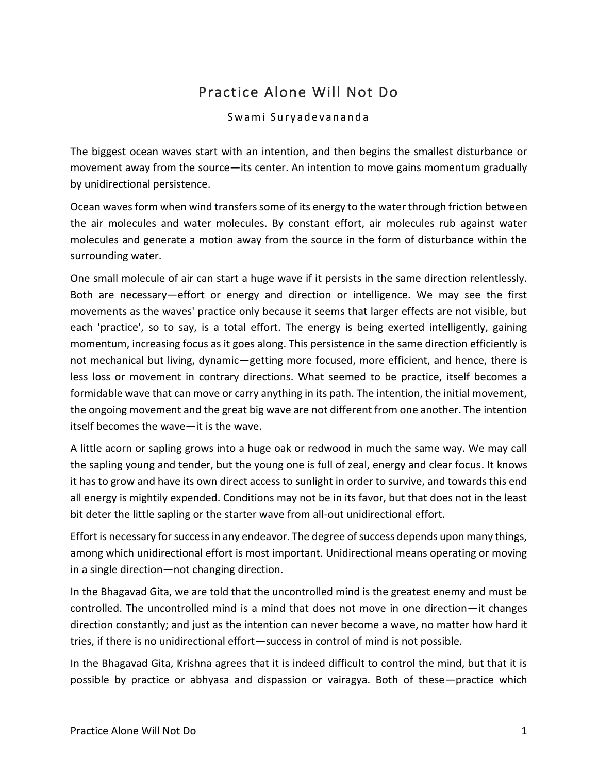## Practice Alone Will Not Do

## Swami Suryadevananda

The biggest ocean waves start with an intention, and then begins the smallest disturbance or movement away from the source—its center. An intention to move gains momentum gradually by unidirectional persistence.

Ocean waves form when wind transfers some of its energy to the water through friction between the air molecules and water molecules. By constant effort, air molecules rub against water molecules and generate a motion away from the source in the form of disturbance within the surrounding water.

One small molecule of air can start a huge wave if it persists in the same direction relentlessly. Both are necessary—effort or energy and direction or intelligence. We may see the first movements as the waves' practice only because it seems that larger effects are not visible, but each 'practice', so to say, is a total effort. The energy is being exerted intelligently, gaining momentum, increasing focus as it goes along. This persistence in the same direction efficiently is not mechanical but living, dynamic—getting more focused, more efficient, and hence, there is less loss or movement in contrary directions. What seemed to be practice, itself becomes a formidable wave that can move or carry anything in its path. The intention, the initial movement, the ongoing movement and the great big wave are not different from one another. The intention itself becomes the wave—it is the wave.

A little acorn or sapling grows into a huge oak or redwood in much the same way. We may call the sapling young and tender, but the young one is full of zeal, energy and clear focus. It knows it has to grow and have its own direct access to sunlight in order to survive, and towards this end all energy is mightily expended. Conditions may not be in its favor, but that does not in the least bit deter the little sapling or the starter wave from all-out unidirectional effort.

Effort is necessary for success in any endeavor. The degree of success depends upon many things, among which unidirectional effort is most important. Unidirectional means operating or moving in a single direction—not changing direction.

In the Bhagavad Gita, we are told that the uncontrolled mind is the greatest enemy and must be controlled. The uncontrolled mind is a mind that does not move in one direction—it changes direction constantly; and just as the intention can never become a wave, no matter how hard it tries, if there is no unidirectional effort—success in control of mind is not possible.

In the Bhagavad Gita, Krishna agrees that it is indeed difficult to control the mind, but that it is possible by practice or abhyasa and dispassion or vairagya. Both of these—practice which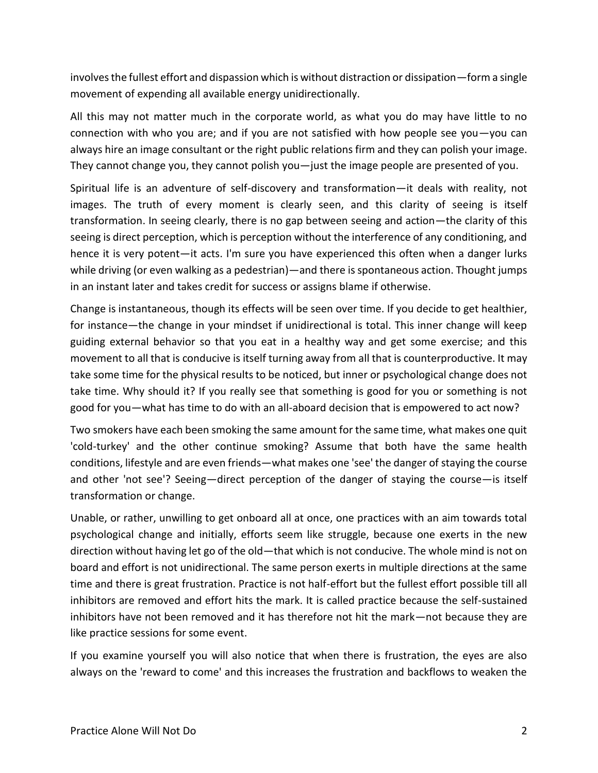involves the fullest effort and dispassion which is without distraction or dissipation—form a single movement of expending all available energy unidirectionally.

All this may not matter much in the corporate world, as what you do may have little to no connection with who you are; and if you are not satisfied with how people see you—you can always hire an image consultant or the right public relations firm and they can polish your image. They cannot change you, they cannot polish you—just the image people are presented of you.

Spiritual life is an adventure of self-discovery and transformation—it deals with reality, not images. The truth of every moment is clearly seen, and this clarity of seeing is itself transformation. In seeing clearly, there is no gap between seeing and action—the clarity of this seeing is direct perception, which is perception without the interference of any conditioning, and hence it is very potent—it acts. I'm sure you have experienced this often when a danger lurks while driving (or even walking as a pedestrian)—and there is spontaneous action. Thought jumps in an instant later and takes credit for success or assigns blame if otherwise.

Change is instantaneous, though its effects will be seen over time. If you decide to get healthier, for instance—the change in your mindset if unidirectional is total. This inner change will keep guiding external behavior so that you eat in a healthy way and get some exercise; and this movement to all that is conducive is itself turning away from all that is counterproductive. It may take some time for the physical results to be noticed, but inner or psychological change does not take time. Why should it? If you really see that something is good for you or something is not good for you—what has time to do with an all-aboard decision that is empowered to act now?

Two smokers have each been smoking the same amount for the same time, what makes one quit 'cold-turkey' and the other continue smoking? Assume that both have the same health conditions, lifestyle and are even friends—what makes one 'see' the danger of staying the course and other 'not see'? Seeing—direct perception of the danger of staying the course—is itself transformation or change.

Unable, or rather, unwilling to get onboard all at once, one practices with an aim towards total psychological change and initially, efforts seem like struggle, because one exerts in the new direction without having let go of the old—that which is not conducive. The whole mind is not on board and effort is not unidirectional. The same person exerts in multiple directions at the same time and there is great frustration. Practice is not half-effort but the fullest effort possible till all inhibitors are removed and effort hits the mark. It is called practice because the self-sustained inhibitors have not been removed and it has therefore not hit the mark—not because they are like practice sessions for some event.

If you examine yourself you will also notice that when there is frustration, the eyes are also always on the 'reward to come' and this increases the frustration and backflows to weaken the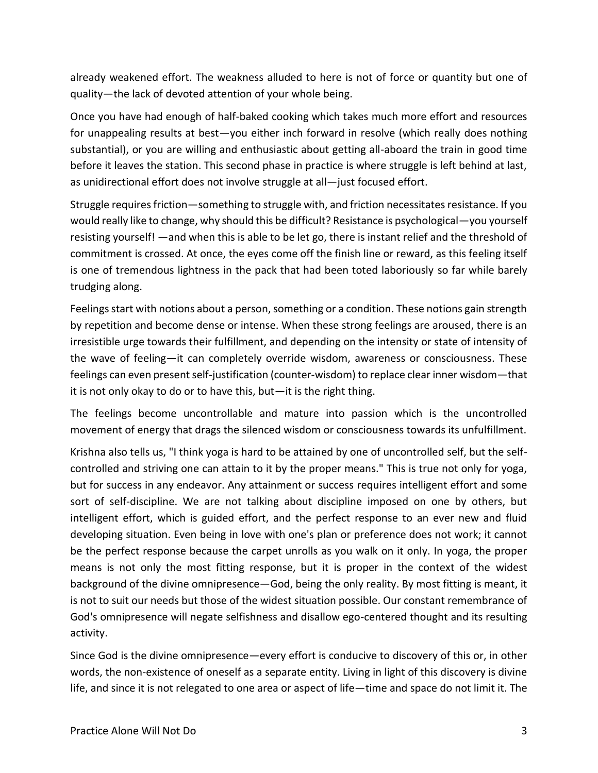already weakened effort. The weakness alluded to here is not of force or quantity but one of quality—the lack of devoted attention of your whole being.

Once you have had enough of half-baked cooking which takes much more effort and resources for unappealing results at best—you either inch forward in resolve (which really does nothing substantial), or you are willing and enthusiastic about getting all-aboard the train in good time before it leaves the station. This second phase in practice is where struggle is left behind at last, as unidirectional effort does not involve struggle at all—just focused effort.

Struggle requires friction—something to struggle with, and friction necessitates resistance. If you would really like to change, why should this be difficult? Resistance is psychological—you yourself resisting yourself! —and when this is able to be let go, there is instant relief and the threshold of commitment is crossed. At once, the eyes come off the finish line or reward, as this feeling itself is one of tremendous lightness in the pack that had been toted laboriously so far while barely trudging along.

Feelings start with notions about a person, something or a condition. These notions gain strength by repetition and become dense or intense. When these strong feelings are aroused, there is an irresistible urge towards their fulfillment, and depending on the intensity or state of intensity of the wave of feeling—it can completely override wisdom, awareness or consciousness. These feelings can even present self-justification (counter-wisdom) to replace clear inner wisdom—that it is not only okay to do or to have this, but—it is the right thing.

The feelings become uncontrollable and mature into passion which is the uncontrolled movement of energy that drags the silenced wisdom or consciousness towards its unfulfillment.

Krishna also tells us, "I think yoga is hard to be attained by one of uncontrolled self, but the selfcontrolled and striving one can attain to it by the proper means." This is true not only for yoga, but for success in any endeavor. Any attainment or success requires intelligent effort and some sort of self-discipline. We are not talking about discipline imposed on one by others, but intelligent effort, which is guided effort, and the perfect response to an ever new and fluid developing situation. Even being in love with one's plan or preference does not work; it cannot be the perfect response because the carpet unrolls as you walk on it only. In yoga, the proper means is not only the most fitting response, but it is proper in the context of the widest background of the divine omnipresence—God, being the only reality. By most fitting is meant, it is not to suit our needs but those of the widest situation possible. Our constant remembrance of God's omnipresence will negate selfishness and disallow ego-centered thought and its resulting activity.

Since God is the divine omnipresence—every effort is conducive to discovery of this or, in other words, the non-existence of oneself as a separate entity. Living in light of this discovery is divine life, and since it is not relegated to one area or aspect of life—time and space do not limit it. The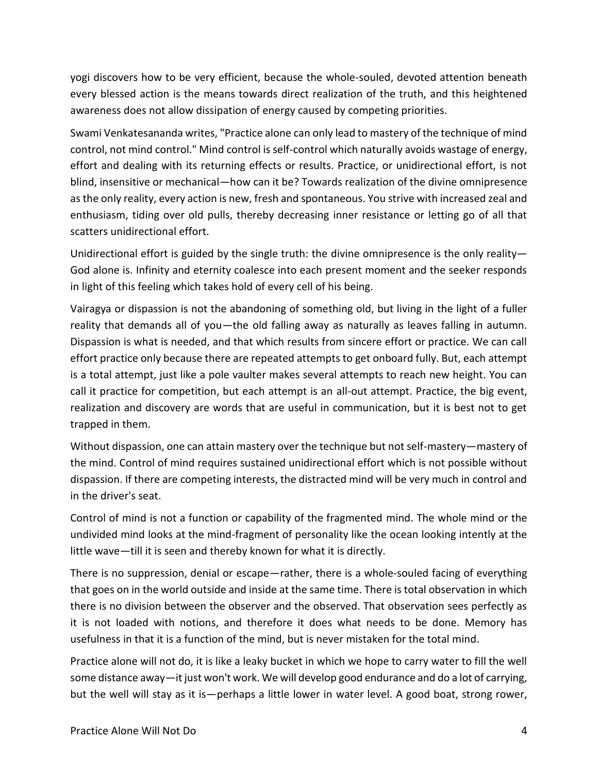yogi discovers how to be very efficient, because the whole-souled, devoted attention beneath every blessed action is the means towards direct realization of the truth, and this heightened awareness does not allow dissipation of energy caused by competing priorities.

Swami Venkatesananda writes, "Practice alone can only lead to mastery of the technique of mind control, not mind control." Mind control is self-control which naturally avoids wastage of energy, effort and dealing with its returning effects or results. Practice, or unidirectional effort, is not blind, insensitive or mechanical—how can it be? Towards realization of the divine omnipresence as the only reality, every action is new, fresh and spontaneous. You strive with increased zeal and enthusiasm, tiding over old pulls, thereby decreasing inner resistance or letting go of all that scatters unidirectional effort.

Unidirectional effort is guided by the single truth: the divine omnipresence is the only reality— God alone is. Infinity and eternity coalesce into each present moment and the seeker responds in light of this feeling which takes hold of every cell of his being.

Vairagya or dispassion is not the abandoning of something old, but living in the light of a fuller reality that demands all of you—the old falling away as naturally as leaves falling in autumn. Dispassion is what is needed, and that which results from sincere effort or practice. We can call effort practice only because there are repeated attempts to get onboard fully. But, each attempt is a total attempt, just like a pole vaulter makes several attempts to reach new height. You can call it practice for competition, but each attempt is an all-out attempt. Practice, the big event, realization and discovery are words that are useful in communication, but it is best not to get trapped in them.

Without dispassion, one can attain mastery over the technique but not self-mastery—mastery of the mind. Control of mind requires sustained unidirectional effort which is not possible without dispassion. If there are competing interests, the distracted mind will be very much in control and in the driver's seat.

Control of mind is not a function or capability of the fragmented mind. The whole mind or the undivided mind looks at the mind-fragment of personality like the ocean looking intently at the little wave—till it is seen and thereby known for what it is directly.

There is no suppression, denial or escape—rather, there is a whole-souled facing of everything that goes on in the world outside and inside at the same time. There is total observation in which there is no division between the observer and the observed. That observation sees perfectly as it is not loaded with notions, and therefore it does what needs to be done. Memory has usefulness in that it is a function of the mind, but is never mistaken for the total mind.

Practice alone will not do, it is like a leaky bucket in which we hope to carry water to fill the well some distance away—it just won't work. We will develop good endurance and do a lot of carrying, but the well will stay as it is—perhaps a little lower in water level. A good boat, strong rower,